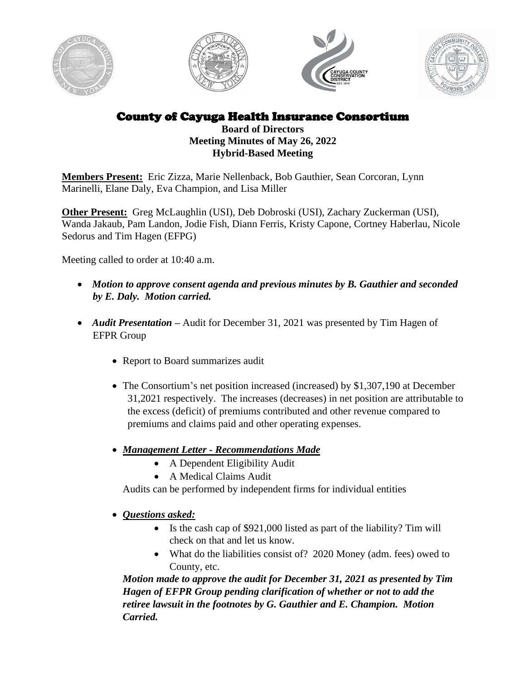







County of Cayuga Health Insurance Consortium

#### **Board of Directors Meeting Minutes of May 26, 2022 Hybrid-Based Meeting**

**Members Present:** Eric Zizza, Marie Nellenback, Bob Gauthier, Sean Corcoran, Lynn Marinelli, Elane Daly, Eva Champion, and Lisa Miller

**Other Present:** Greg McLaughlin (USI), Deb Dobroski (USI), Zachary Zuckerman (USI), Wanda Jakaub, Pam Landon, Jodie Fish, Diann Ferris, Kristy Capone, Cortney Haberlau, Nicole Sedorus and Tim Hagen (EFPG)

Meeting called to order at 10:40 a.m.

- *Motion to approve consent agenda and previous minutes by B. Gauthier and seconded by E. Daly. Motion carried.*
- *Audit Presentation* Audit for December 31, 2021 was presented by Tim Hagen of EFPR Group
	- Report to Board summarizes audit
	- The Consortium's net position increased (increased) by \$1,307,190 at December 31,2021 respectively. The increases (decreases) in net position are attributable to the excess (deficit) of premiums contributed and other revenue compared to premiums and claims paid and other operating expenses.
	- *Management Letter - Recommendations Made*
		- A Dependent Eligibility Audit
		- A Medical Claims Audit

Audits can be performed by independent firms for individual entities

• *Questions asked:*

- Is the cash cap of \$921,000 listed as part of the liability? Tim will check on that and let us know.
- What do the liabilities consist of? 2020 Money (adm. fees) owed to County, etc.

*Motion made to approve the audit for December 31, 2021 as presented by Tim Hagen of EFPR Group pending clarification of whether or not to add the retiree lawsuit in the footnotes by G. Gauthier and E. Champion. Motion Carried.*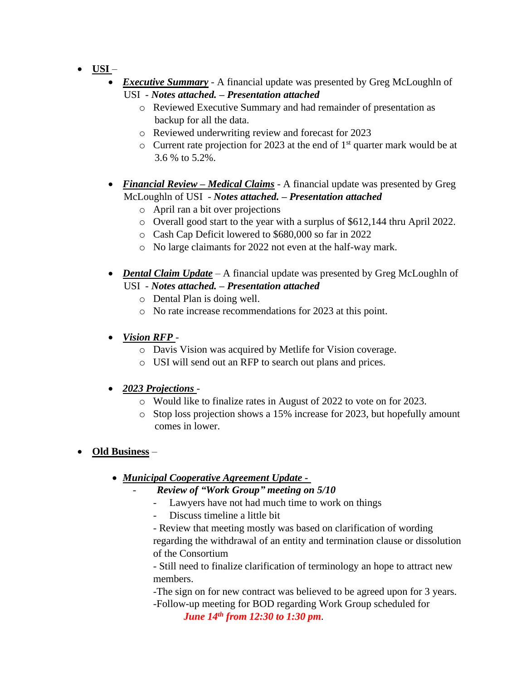- **USI** 
	- *Executive Summary* A financial update was presented by Greg McLoughln of USI - *Notes attached. – Presentation attached*
		- o Reviewed Executive Summary and had remainder of presentation as backup for all the data.
		- o Reviewed underwriting review and forecast for 2023
		- $\circ$  Current rate projection for 2023 at the end of 1<sup>st</sup> quarter mark would be at 3.6 % to 5.2%.
	- *Financial Review Medical Claims* A financial update was presented by Greg McLoughln of USI - *Notes attached. – Presentation attached*
		- o April ran a bit over projections
		- o Overall good start to the year with a surplus of \$612,144 thru April 2022.
		- o Cash Cap Deficit lowered to \$680,000 so far in 2022
		- o No large claimants for 2022 not even at the half-way mark.
	- *Dental Claim Update* A financial update was presented by Greg McLoughln of USI - *Notes attached. – Presentation attached*
		- o Dental Plan is doing well.
		- o No rate increase recommendations for 2023 at this point.
	- *Vision RFP*
		- o Davis Vision was acquired by Metlife for Vision coverage.
		- o USI will send out an RFP to search out plans and prices.

#### • *2023 Projections* -

- o Would like to finalize rates in August of 2022 to vote on for 2023.
- o Stop loss projection shows a 15% increase for 2023, but hopefully amount comes in lower.

# • **Old Business** –

- *Municipal Cooperative Agreement Update -*
	- *Review of "Work Group" meeting on 5/10*
		- Lawyers have not had much time to work on things
		- Discuss timeline a little bit

- Review that meeting mostly was based on clarification of wording regarding the withdrawal of an entity and termination clause or dissolution of the Consortium

- Still need to finalize clarification of terminology an hope to attract new members.

-The sign on for new contract was believed to be agreed upon for 3 years. -Follow-up meeting for BOD regarding Work Group scheduled for

*June 14 th from 12:30 to 1:30 pm*.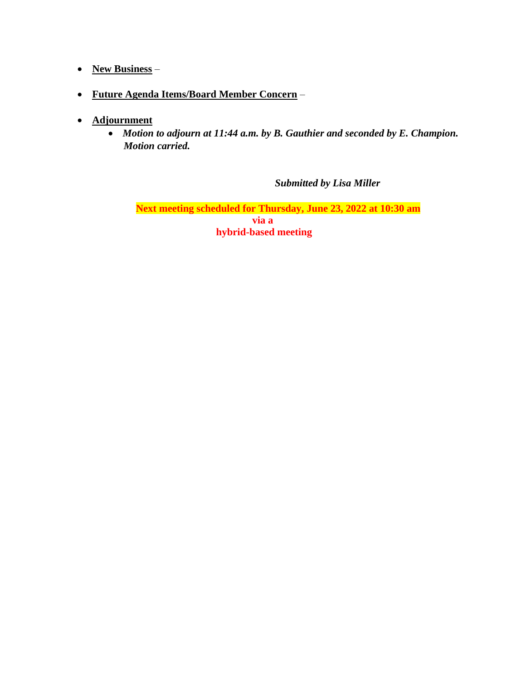## • **New Business** –

- **Future Agenda Items/Board Member Concern** –
- **Adjournment**
	- *Motion to adjourn at 11:44 a.m. by B. Gauthier and seconded by E. Champion. Motion carried.*

*Submitted by Lisa Miller*

**Next meeting scheduled for Thursday, June 23, 2022 at 10:30 am via a hybrid-based meeting**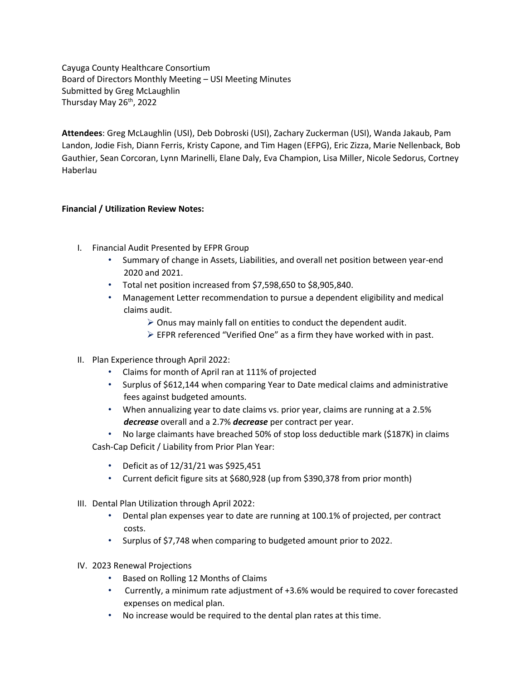Cayuga County Healthcare Consortium Board of Directors Monthly Meeting – USI Meeting Minutes Submitted by Greg McLaughlin Thursday May 26<sup>th</sup>, 2022

**Attendees**: Greg McLaughlin (USI), Deb Dobroski (USI), Zachary Zuckerman (USI), Wanda Jakaub, Pam Landon, Jodie Fish, Diann Ferris, Kristy Capone, and Tim Hagen (EFPG), Eric Zizza, Marie Nellenback, Bob Gauthier, Sean Corcoran, Lynn Marinelli, Elane Daly, Eva Champion, Lisa Miller, Nicole Sedorus, Cortney Haberlau

#### **Financial / Utilization Review Notes:**

- I. Financial Audit Presented by EFPR Group
	- Summary of change in Assets, Liabilities, and overall net position between year-end 2020 and 2021.
	- Total net position increased from \$7,598,650 to \$8,905,840.
	- Management Letter recommendation to pursue a dependent eligibility and medical claims audit.
		- $\triangleright$  Onus may mainly fall on entities to conduct the dependent audit.
		- ➢ EFPR referenced "Verified One" as a firm they have worked with in past.
- II. Plan Experience through April 2022:
	- Claims for month of April ran at 111% of projected
	- Surplus of \$612,144 when comparing Year to Date medical claims and administrative fees against budgeted amounts.
	- When annualizing year to date claims vs. prior year, claims are running at a 2.5% *decrease* overall and a 2.7% *decrease* per contract per year.
	- No large claimants have breached 50% of stop loss deductible mark (\$187K) in claims Cash-Cap Deficit / Liability from Prior Plan Year:
		- Deficit as of 12/31/21 was \$925,451
		- Current deficit figure sits at \$680,928 (up from \$390,378 from prior month)
- III. Dental Plan Utilization through April 2022:
	- Dental plan expenses year to date are running at 100.1% of projected, per contract costs.
	- Surplus of \$7,748 when comparing to budgeted amount prior to 2022.
- IV. 2023 Renewal Projections
	- Based on Rolling 12 Months of Claims
	- Currently, a minimum rate adjustment of +3.6% would be required to cover forecasted expenses on medical plan.
	- No increase would be required to the dental plan rates at this time.